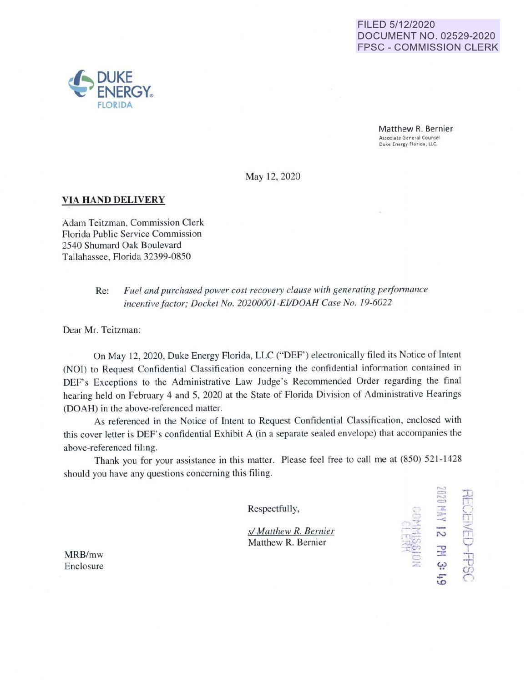## FILED 5/12/2020 **DOCUMENT NO. 02529-2020 FPSC - COMMISSION CLERK**



**FCEMED-FPSC** 

141 12 PM 3:

May 12, 2020

## **VIA HAND DELIVERY**

Adam Teitzman, Commission Clerk Florida Public Service Commission 2540 Shumard Oak Boulevard Tallahassee, Florida 32399-0850

> Fuel and purchased power cost recovery clause with generating performance  $Re:$ incentive factor; Docket No. 20200001-EI/DOAH Case No. 19-6022

Dear Mr. Teitzman:

On May 12, 2020, Duke Energy Florida, LLC ("DEF") electronically filed its Notice of Intent (NOI) to Request Confidential Classification concerning the confidential information contained in DEF's Exceptions to the Administrative Law Judge's Recommended Order regarding the final hearing held on February 4 and 5, 2020 at the State of Florida Division of Administrative Hearings (DOAH) in the above-referenced matter.

As referenced in the Notice of Intent to Request Confidential Classification, enclosed with this cover letter is DEF's confidential Exhibit A (in a separate sealed envelope) that accompanies the above-referenced filing.

Thank you for your assistance in this matter. Please feel free to call me at (850) 521-1428 should you have any questions concerning this filing.

Respectfully,

s/ Matthew R. Bernier Matthew R. Bernier

MRB/mw Enclosure